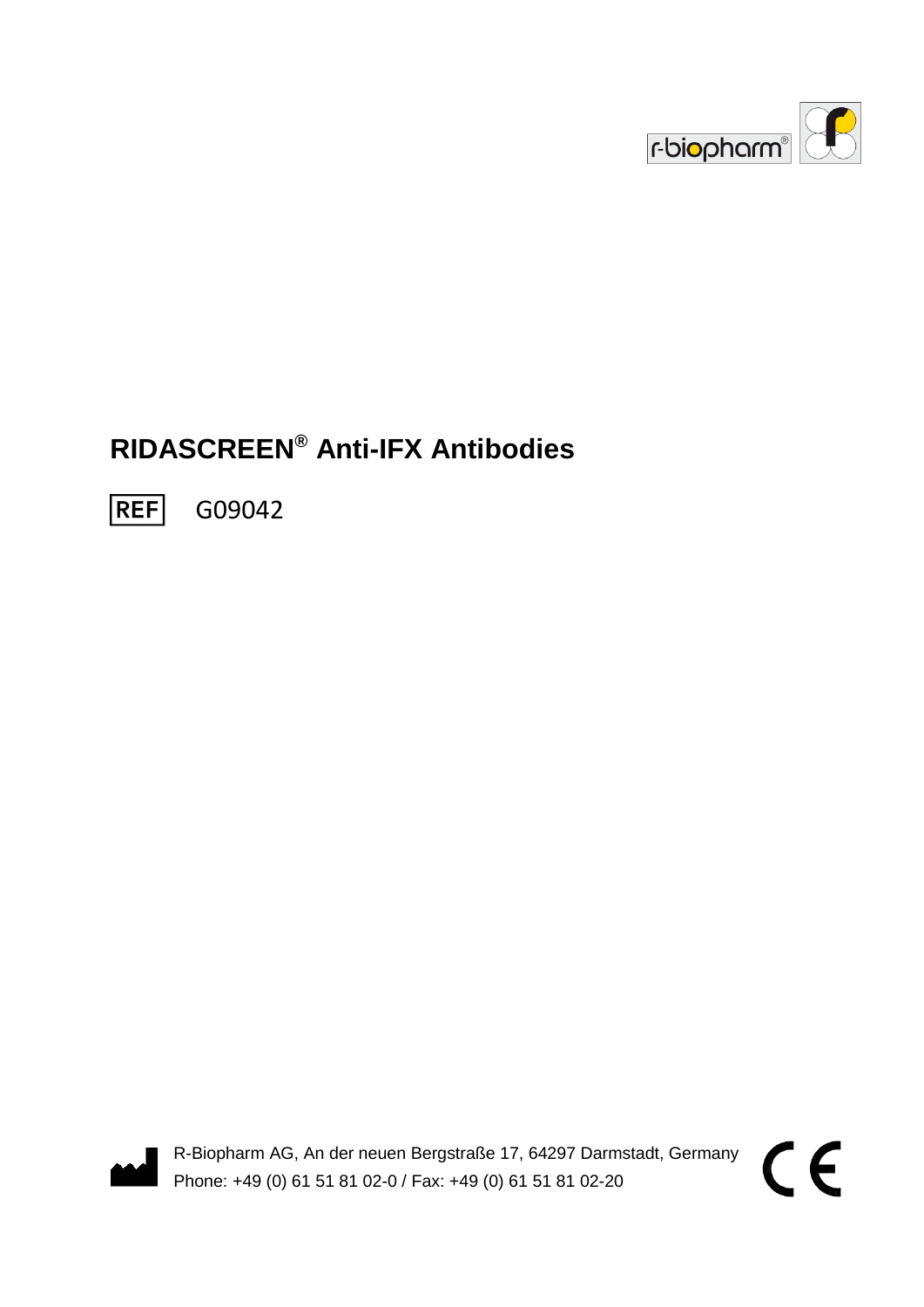

# **RIDASCREEN® Anti-IFX Antibodies**

**REF** G09042



R-Biopharm AG, An der neuen Bergstraße 17, 64297 Darmstadt, Germany Phone: +49 (0) 61 51 81 02-0 / Fax: +49 (0) 61 51 81 02-20

 $\epsilon$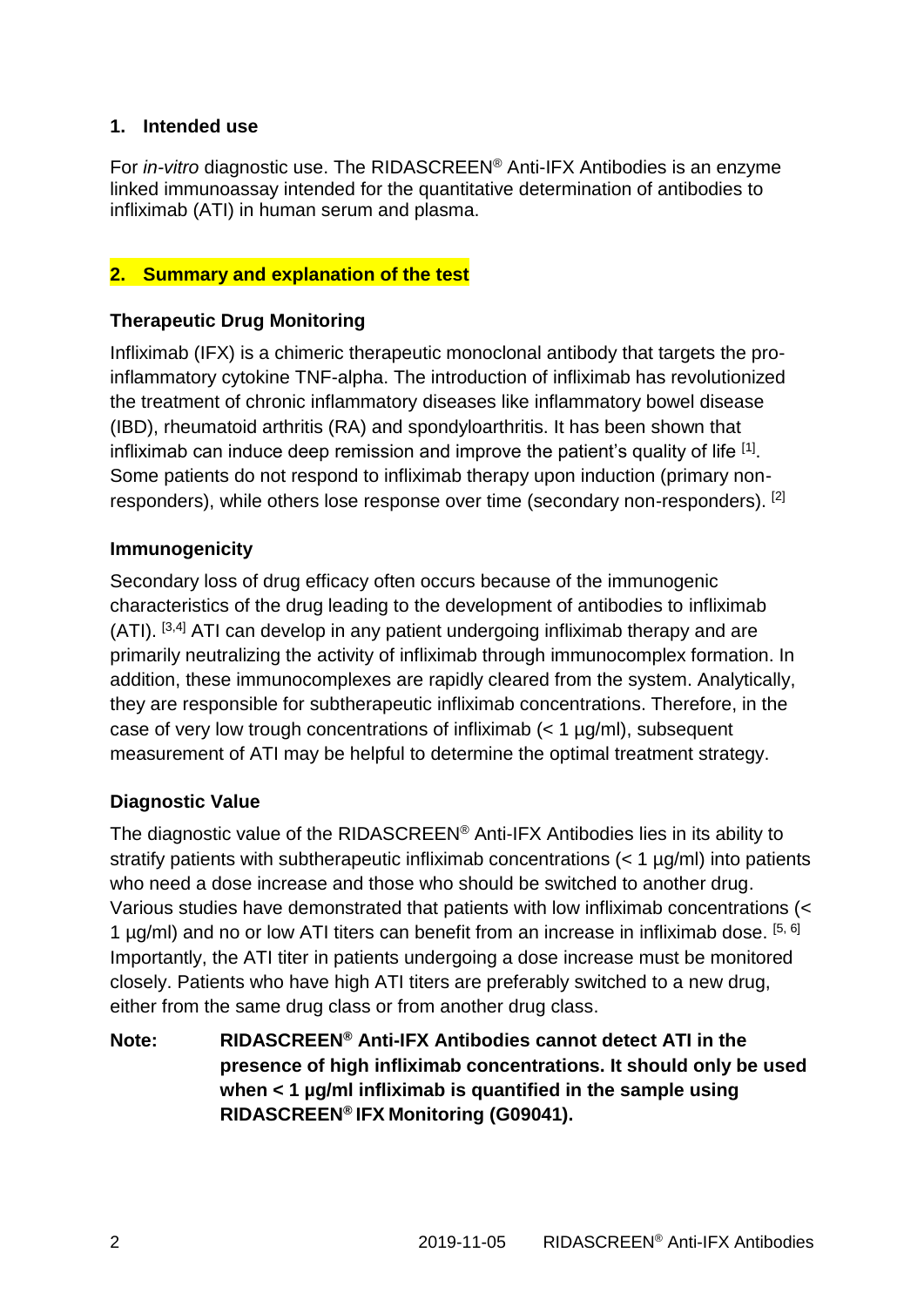#### **1. Intended use**

For *in-vitro* diagnostic use. The RIDASCREEN® Anti-IFX Antibodies is an enzyme linked immunoassay intended for the quantitative determination of antibodies to infliximab (ATI) in human serum and plasma.

#### **2. Summary and explanation of the test**

#### **Therapeutic Drug Monitoring**

Infliximab (IFX) is a chimeric therapeutic monoclonal antibody that targets the proinflammatory cytokine TNF-alpha. The introduction of infliximab has revolutionized the treatment of chronic inflammatory diseases like inflammatory bowel disease (IBD), rheumatoid arthritis (RA) and spondyloarthritis. It has been shown that infliximab can induce deep remission and improve the patient's quality of life  $^{[1]}$ . Some patients do not respond to infliximab therapy upon induction (primary nonresponders), while others lose response over time (secondary non-responders). [2]

#### **Immunogenicity**

Secondary loss of drug efficacy often occurs because of the immunogenic characteristics of the drug leading to the development of antibodies to infliximab  $(ATI)$ . [3,4] ATI can develop in any patient undergoing infliximab therapy and are primarily neutralizing the activity of infliximab through immunocomplex formation. In addition, these immunocomplexes are rapidly cleared from the system. Analytically, they are responsible for subtherapeutic infliximab concentrations. Therefore, in the case of very low trough concentrations of infliximab  $\left($  < 1  $\mu q/ml$ ), subsequent measurement of ATI may be helpful to determine the optimal treatment strategy.

#### **Diagnostic Value**

The diagnostic value of the RIDASCREEN® Anti-IFX Antibodies lies in its ability to stratify patients with subtherapeutic infliximab concentrations (< 1 µg/ml) into patients who need a dose increase and those who should be switched to another drug. Various studies have demonstrated that patients with low infliximab concentrations (< 1 µg/ml) and no or low ATI titers can benefit from an increase in infliximab dose. <sup>[5, 6]</sup> Importantly, the ATI titer in patients undergoing a dose increase must be monitored closely. Patients who have high ATI titers are preferably switched to a new drug, either from the same drug class or from another drug class.

**Note: RIDASCREEN® Anti-IFX Antibodies cannot detect ATI in the presence of high infliximab concentrations. It should only be used when < 1 µg/ml infliximab is quantified in the sample using RIDASCREEN® IFX Monitoring (G09041).**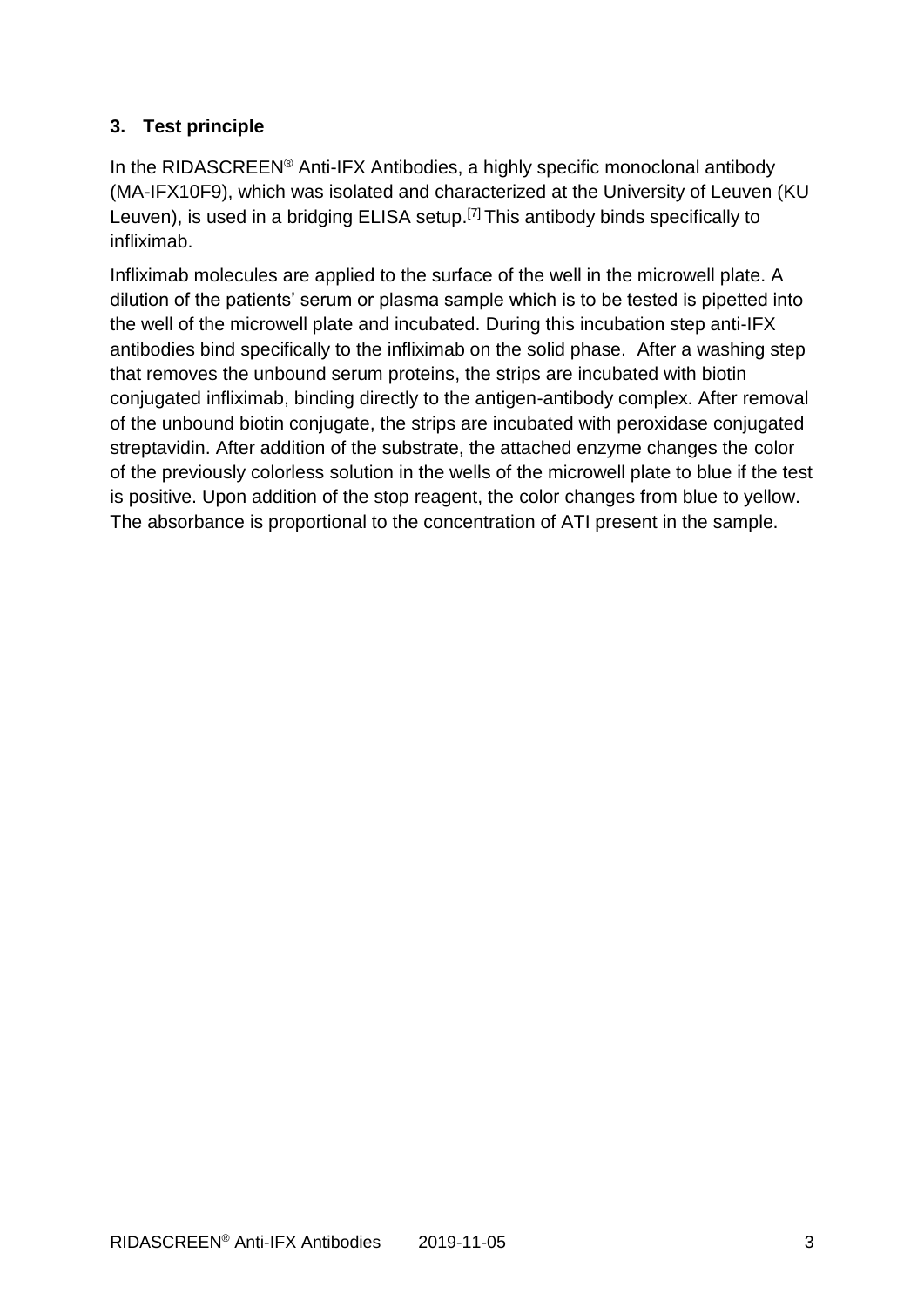## **3. Test principle**

In the RIDASCREEN® Anti-IFX Antibodies, a highly specific monoclonal antibody (MA-IFX10F9), which was isolated and characterized at the University of Leuven (KU Leuven), is used in a bridging ELISA setup.<sup>[7]</sup> This antibody binds specifically to infliximab.

Infliximab molecules are applied to the surface of the well in the microwell plate. A dilution of the patients' serum or plasma sample which is to be tested is pipetted into the well of the microwell plate and incubated. During this incubation step anti-IFX antibodies bind specifically to the infliximab on the solid phase. After a washing step that removes the unbound serum proteins, the strips are incubated with biotin conjugated infliximab, binding directly to the antigen-antibody complex. After removal of the unbound biotin conjugate, the strips are incubated with peroxidase conjugated streptavidin. After addition of the substrate, the attached enzyme changes the color of the previously colorless solution in the wells of the microwell plate to blue if the test is positive. Upon addition of the stop reagent, the color changes from blue to yellow. The absorbance is proportional to the concentration of ATI present in the sample.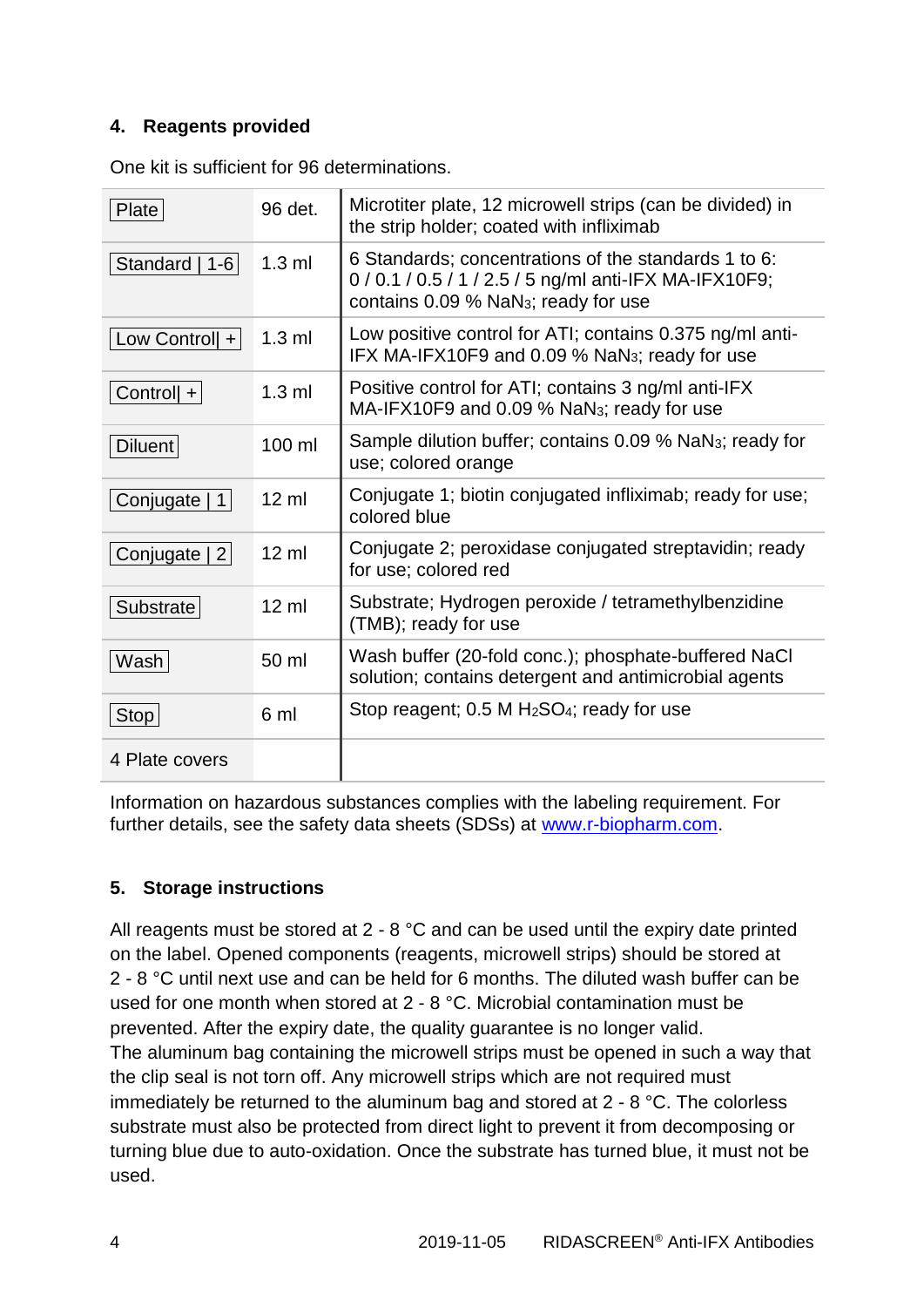#### **4. Reagents provided**

| Plate           | 96 det.         | Microtiter plate, 12 microwell strips (can be divided) in<br>the strip holder; coated with infliximab                                                              |
|-----------------|-----------------|--------------------------------------------------------------------------------------------------------------------------------------------------------------------|
| Standard   1-6  | $1.3$ ml        | 6 Standards; concentrations of the standards 1 to 6:<br>0 / 0.1 / 0.5 / 1 / 2.5 / 5 ng/ml anti-IFX MA-IFX10F9;<br>contains 0.09 % NaN <sub>3</sub> ; ready for use |
| Low Control $+$ | $1.3$ ml        | Low positive control for ATI; contains 0.375 ng/ml anti-<br>IFX MA-IFX10F9 and 0.09 % NaN <sub>3</sub> ; ready for use                                             |
| Controll $+$    | $1.3$ ml        | Positive control for ATI; contains 3 ng/ml anti-IFX<br>MA-IFX10F9 and 0.09 % NaN <sub>3</sub> ; ready for use                                                      |
| Diluent         | 100 ml          | Sample dilution buffer; contains 0.09 % NaN <sub>3</sub> ; ready for<br>use; colored orange                                                                        |
| Conjugate   1   | $12 \mathrm{m}$ | Conjugate 1; biotin conjugated infliximab; ready for use;<br>colored blue                                                                                          |
| Conjugate   2   | $12 \text{ ml}$ | Conjugate 2; peroxidase conjugated streptavidin; ready<br>for use; colored red                                                                                     |
| Substrate       | $12 \mathrm{m}$ | Substrate; Hydrogen peroxide / tetramethylbenzidine<br>(TMB); ready for use                                                                                        |
| Wash            | 50 ml           | Wash buffer (20-fold conc.); phosphate-buffered NaCl<br>solution; contains detergent and antimicrobial agents                                                      |
| Stop            | 6 ml            | Stop reagent; 0.5 M H <sub>2</sub> SO <sub>4</sub> ; ready for use                                                                                                 |
| 4 Plate covers  |                 |                                                                                                                                                                    |

One kit is sufficient for 96 determinations.

Information on hazardous substances complies with the labeling requirement. For further details, see the safety data sheets (SDSs) at [www.r-biopharm.com.](http://www.r-biopharm.com/)

## **5. Storage instructions**

All reagents must be stored at 2 - 8 °C and can be used until the expiry date printed on the label. Opened components (reagents, microwell strips) should be stored at 2 - 8 °C until next use and can be held for 6 months. The diluted wash buffer can be used for one month when stored at 2 - 8 °C. Microbial contamination must be prevented. After the expiry date, the quality guarantee is no longer valid. The aluminum bag containing the microwell strips must be opened in such a way that the clip seal is not torn off. Any microwell strips which are not required must immediately be returned to the aluminum bag and stored at 2 - 8 °C. The colorless substrate must also be protected from direct light to prevent it from decomposing or turning blue due to auto-oxidation. Once the substrate has turned blue, it must not be used.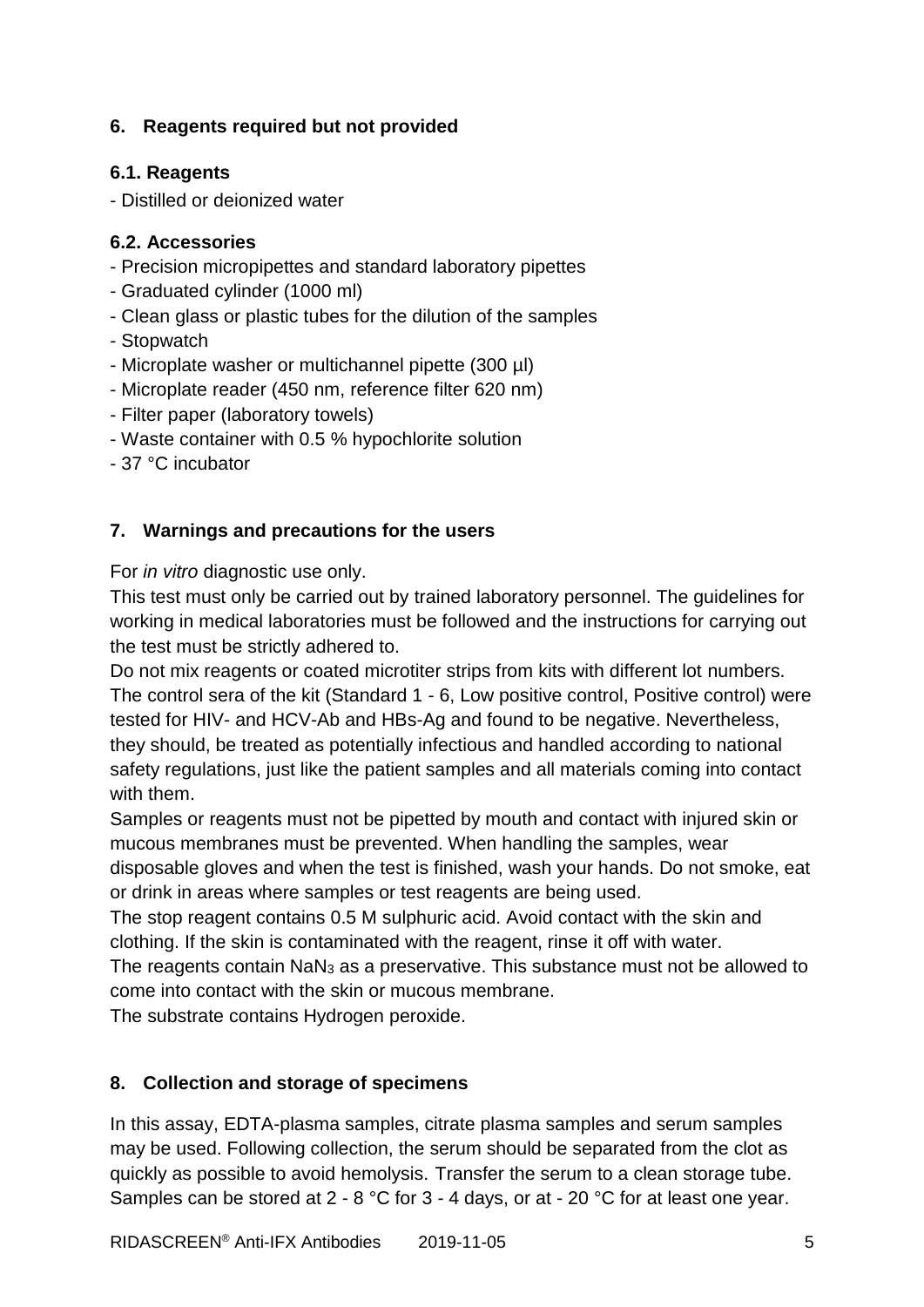## **6. Reagents required but not provided**

#### **6.1. Reagents**

- Distilled or deionized water

## **6.2. Accessories**

- Precision micropipettes and standard laboratory pipettes
- Graduated cylinder (1000 ml)
- Clean glass or plastic tubes for the dilution of the samples
- Stopwatch
- Microplate washer or multichannel pipette (300 µl)
- Microplate reader (450 nm, reference filter 620 nm)
- Filter paper (laboratory towels)
- Waste container with 0.5 % hypochlorite solution
- 37 °C incubator

## **7. Warnings and precautions for the users**

For *in vitro* diagnostic use only.

This test must only be carried out by trained laboratory personnel. The guidelines for working in medical laboratories must be followed and the instructions for carrying out the test must be strictly adhered to.

Do not mix reagents or coated microtiter strips from kits with different lot numbers. The control sera of the kit (Standard 1 - 6, Low positive control, Positive control) were tested for HIV- and HCV-Ab and HBs-Ag and found to be negative. Nevertheless, they should, be treated as potentially infectious and handled according to national safety regulations, just like the patient samples and all materials coming into contact with them.

Samples or reagents must not be pipetted by mouth and contact with injured skin or mucous membranes must be prevented. When handling the samples, wear disposable gloves and when the test is finished, wash your hands. Do not smoke, eat or drink in areas where samples or test reagents are being used.

The stop reagent contains 0.5 M sulphuric acid. Avoid contact with the skin and clothing. If the skin is contaminated with the reagent, rinse it off with water.

The reagents contain NaN<sup>3</sup> as a preservative. This substance must not be allowed to come into contact with the skin or mucous membrane.

The substrate contains Hydrogen peroxide.

#### **8. Collection and storage of specimens**

In this assay, EDTA-plasma samples, citrate plasma samples and serum samples may be used. Following collection, the serum should be separated from the clot as quickly as possible to avoid hemolysis. Transfer the serum to a clean storage tube. Samples can be stored at 2 - 8 °C for 3 - 4 days, or at - 20 °C for at least one year.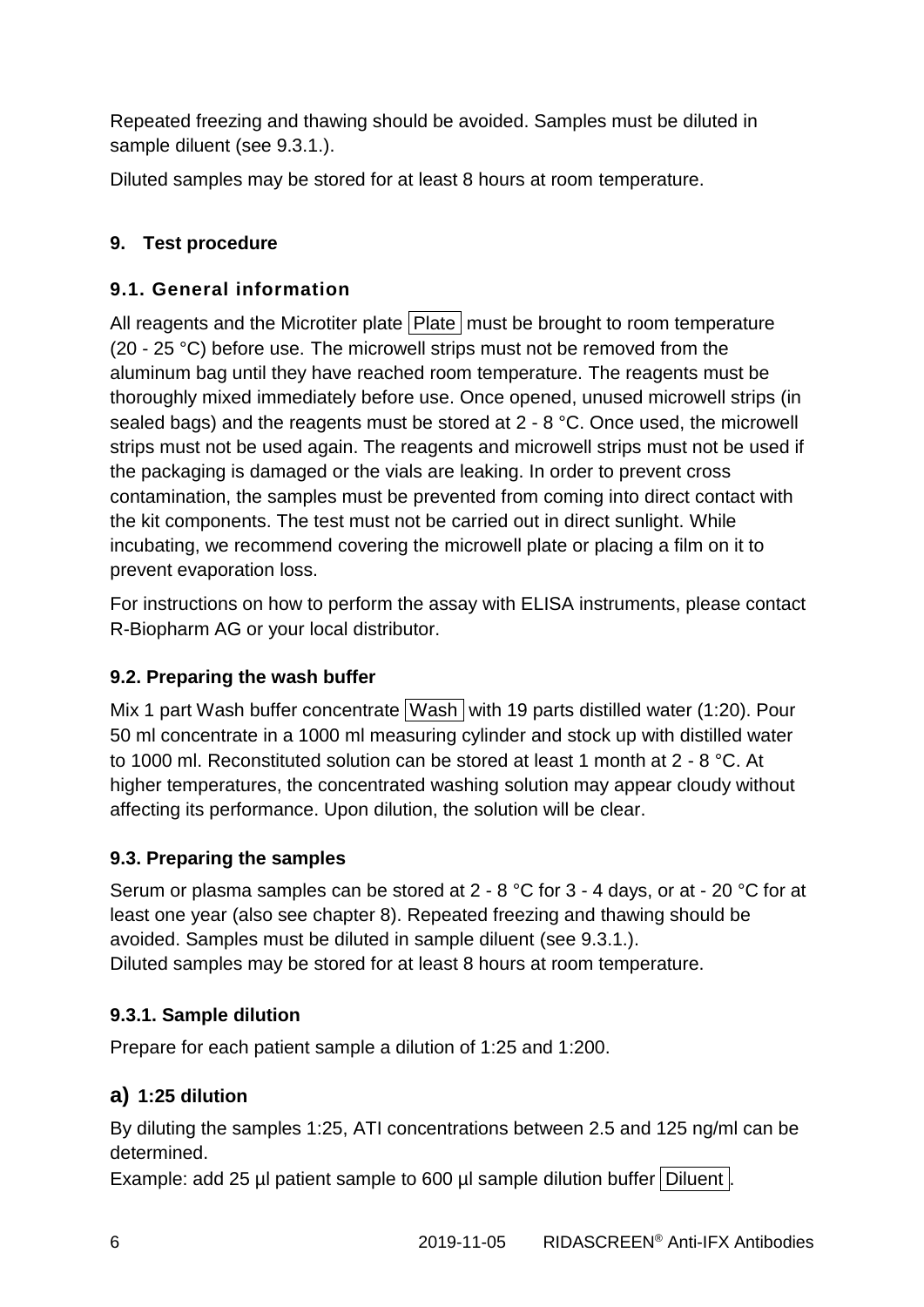Repeated freezing and thawing should be avoided. Samples must be diluted in sample diluent (see 9.3.1.).

Diluted samples may be stored for at least 8 hours at room temperature.

## **9. Test procedure**

## **9.1. General information**

All reagents and the Microtiter plate  $|$  Plate  $|$  must be brought to room temperature (20 - 25 °C) before use. The microwell strips must not be removed from the aluminum bag until they have reached room temperature. The reagents must be thoroughly mixed immediately before use. Once opened, unused microwell strips (in sealed bags) and the reagents must be stored at 2 - 8 °C. Once used, the microwell strips must not be used again. The reagents and microwell strips must not be used if the packaging is damaged or the vials are leaking. In order to prevent cross contamination, the samples must be prevented from coming into direct contact with the kit components. The test must not be carried out in direct sunlight. While incubating, we recommend covering the microwell plate or placing a film on it to prevent evaporation loss.

For instructions on how to perform the assay with ELISA instruments, please contact R-Biopharm AG or your local distributor.

## **9.2. Preparing the wash buffer**

Mix 1 part Wash buffer concentrate Wash with 19 parts distilled water (1:20). Pour 50 ml concentrate in a 1000 ml measuring cylinder and stock up with distilled water to 1000 ml. Reconstituted solution can be stored at least 1 month at 2 - 8 °C. At higher temperatures, the concentrated washing solution may appear cloudy without affecting its performance. Upon dilution, the solution will be clear.

## **9.3. Preparing the samples**

Serum or plasma samples can be stored at 2 - 8 °C for 3 - 4 days, or at - 20 °C for at least one year (also see chapter 8). Repeated freezing and thawing should be avoided. Samples must be diluted in sample diluent (see 9.3.1.). Diluted samples may be stored for at least 8 hours at room temperature.

## **9.3.1. Sample dilution**

Prepare for each patient sample a dilution of 1:25 and 1:200.

## **a) 1:25 dilution**

By diluting the samples 1:25, ATI concentrations between 2.5 and 125 ng/ml can be determined.

Example: add 25 µl patient sample to 600 µl sample dilution buffer Diluent.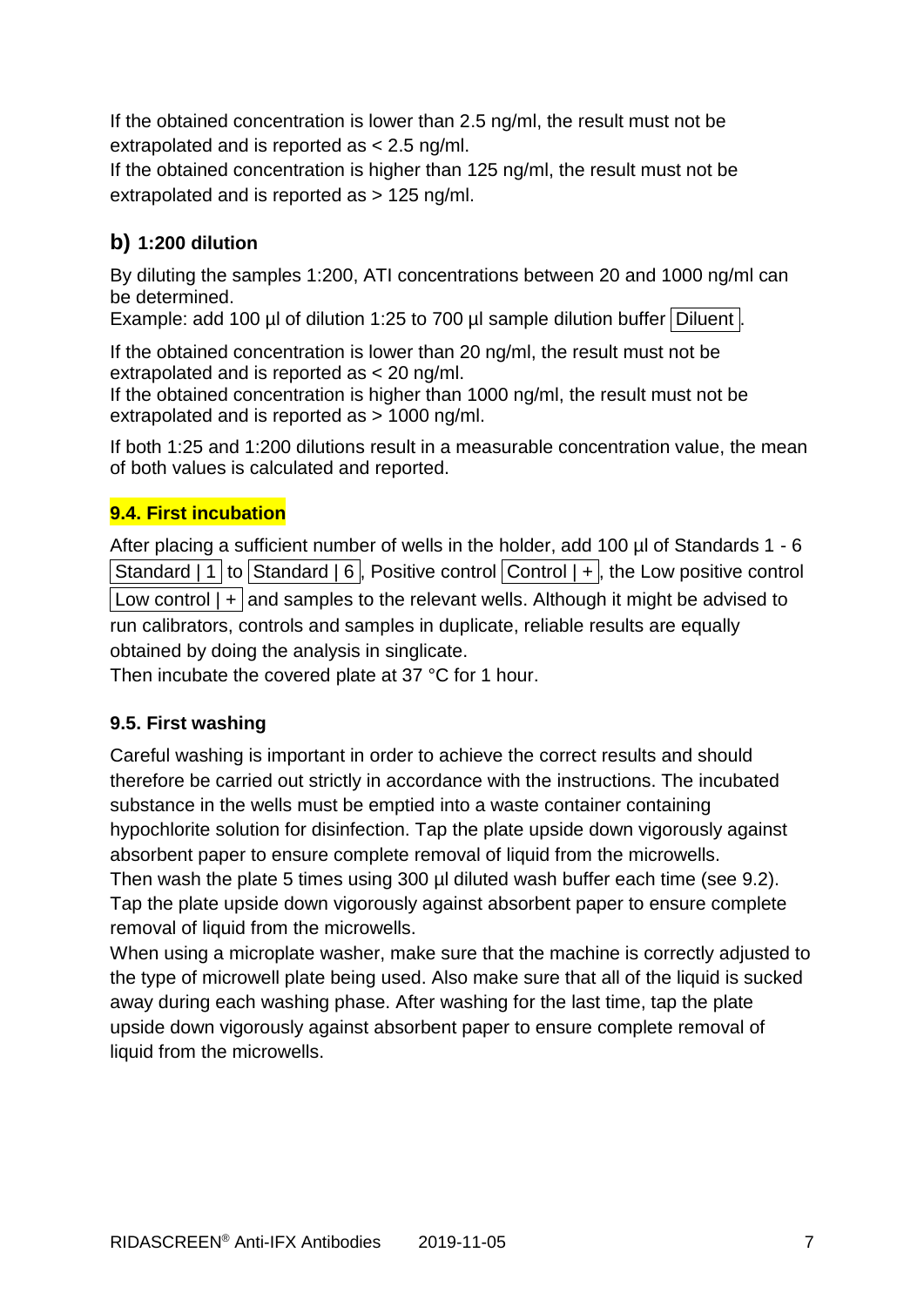If the obtained concentration is lower than 2.5 ng/ml, the result must not be extrapolated and is reported as < 2.5 ng/ml.

If the obtained concentration is higher than 125 ng/ml, the result must not be extrapolated and is reported as > 125 ng/ml.

## **b) 1:200 dilution**

By diluting the samples 1:200, ATI concentrations between 20 and 1000 ng/ml can be determined.

Example: add 100 µl of dilution 1:25 to 700 µl sample dilution buffer Diluent.

If the obtained concentration is lower than 20 ng/ml, the result must not be extrapolated and is reported as < 20 ng/ml.

If the obtained concentration is higher than 1000 ng/ml, the result must not be extrapolated and is reported as > 1000 ng/ml.

If both 1:25 and 1:200 dilutions result in a measurable concentration value, the mean of both values is calculated and reported.

## **9.4. First incubation**

After placing a sufficient number of wells in the holder, add 100 ul of Standards 1 - 6 Standard | 1 to Standard | 6, Positive control  $\boxed{\text{Control} + \text{l}}$ , the Low positive control Low control  $| + |$  and samples to the relevant wells. Although it might be advised to run calibrators, controls and samples in duplicate, reliable results are equally obtained by doing the analysis in singlicate.

Then incubate the covered plate at 37 °C for 1 hour.

## **9.5. First washing**

Careful washing is important in order to achieve the correct results and should therefore be carried out strictly in accordance with the instructions. The incubated substance in the wells must be emptied into a waste container containing hypochlorite solution for disinfection. Tap the plate upside down vigorously against absorbent paper to ensure complete removal of liquid from the microwells.

Then wash the plate 5 times using 300 µl diluted wash buffer each time (see 9.2). Tap the plate upside down vigorously against absorbent paper to ensure complete removal of liquid from the microwells.

When using a microplate washer, make sure that the machine is correctly adjusted to the type of microwell plate being used. Also make sure that all of the liquid is sucked away during each washing phase. After washing for the last time, tap the plate upside down vigorously against absorbent paper to ensure complete removal of liquid from the microwells.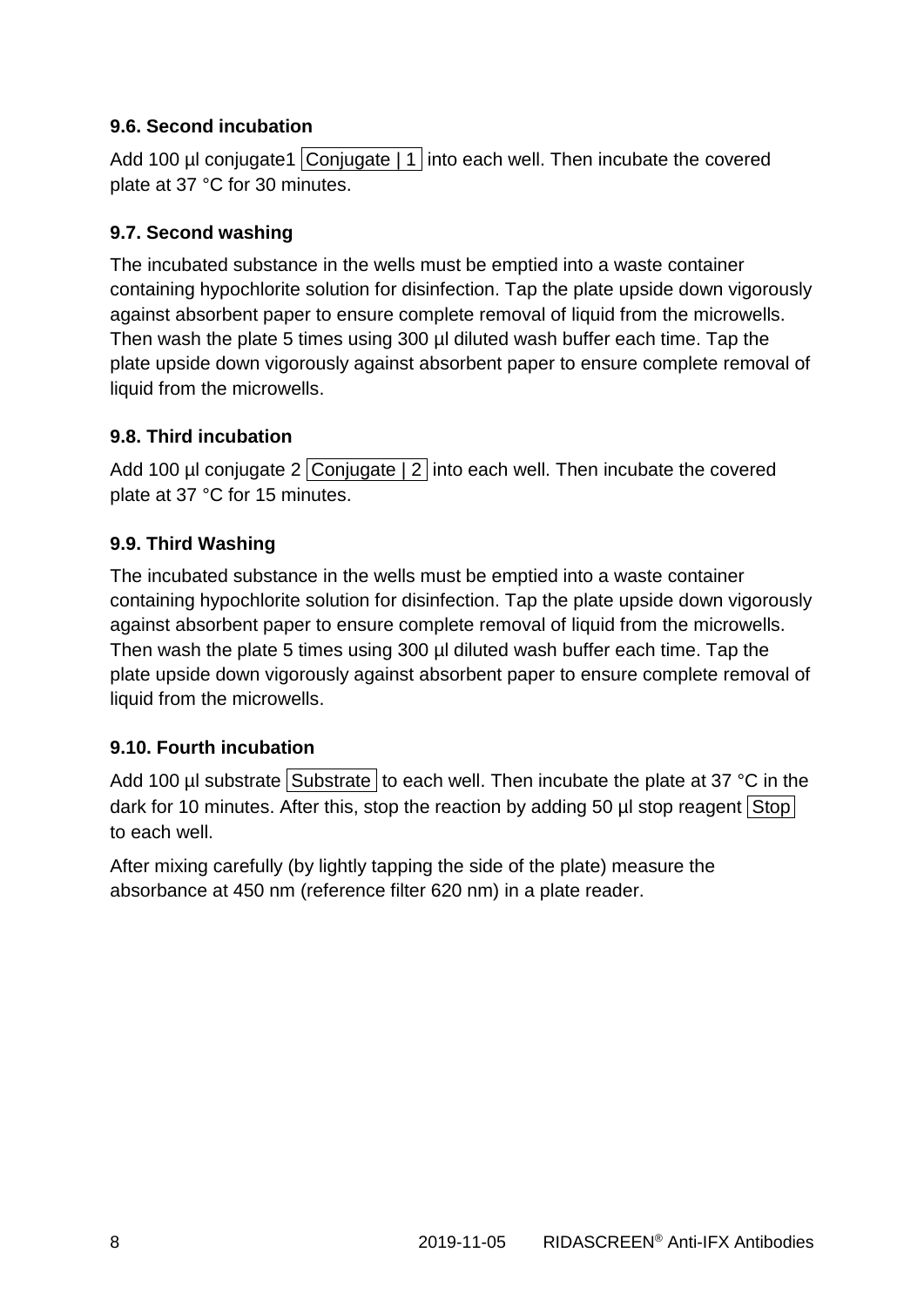## **9.6. Second incubation**

Add 100 µl conjugate1 Conjugate | 1 into each well. Then incubate the covered plate at 37 °C for 30 minutes.

## **9.7. Second washing**

The incubated substance in the wells must be emptied into a waste container containing hypochlorite solution for disinfection. Tap the plate upside down vigorously against absorbent paper to ensure complete removal of liquid from the microwells. Then wash the plate 5 times using 300 µl diluted wash buffer each time. Tap the plate upside down vigorously against absorbent paper to ensure complete removal of liquid from the microwells.

## **9.8. Third incubation**

Add 100 µl conjugate 2 Conjugate  $\vert 2 \vert$  into each well. Then incubate the covered plate at 37 °C for 15 minutes.

## **9.9. Third Washing**

The incubated substance in the wells must be emptied into a waste container containing hypochlorite solution for disinfection. Tap the plate upside down vigorously against absorbent paper to ensure complete removal of liquid from the microwells. Then wash the plate 5 times using 300 µl diluted wash buffer each time. Tap the plate upside down vigorously against absorbent paper to ensure complete removal of liquid from the microwells.

## **9.10. Fourth incubation**

Add 100 µl substrate Substrate to each well. Then incubate the plate at 37  $^{\circ}$ C in the dark for 10 minutes. After this, stop the reaction by adding 50  $\mu$  stop reagent Stop to each well.

After mixing carefully (by lightly tapping the side of the plate) measure the absorbance at 450 nm (reference filter 620 nm) in a plate reader.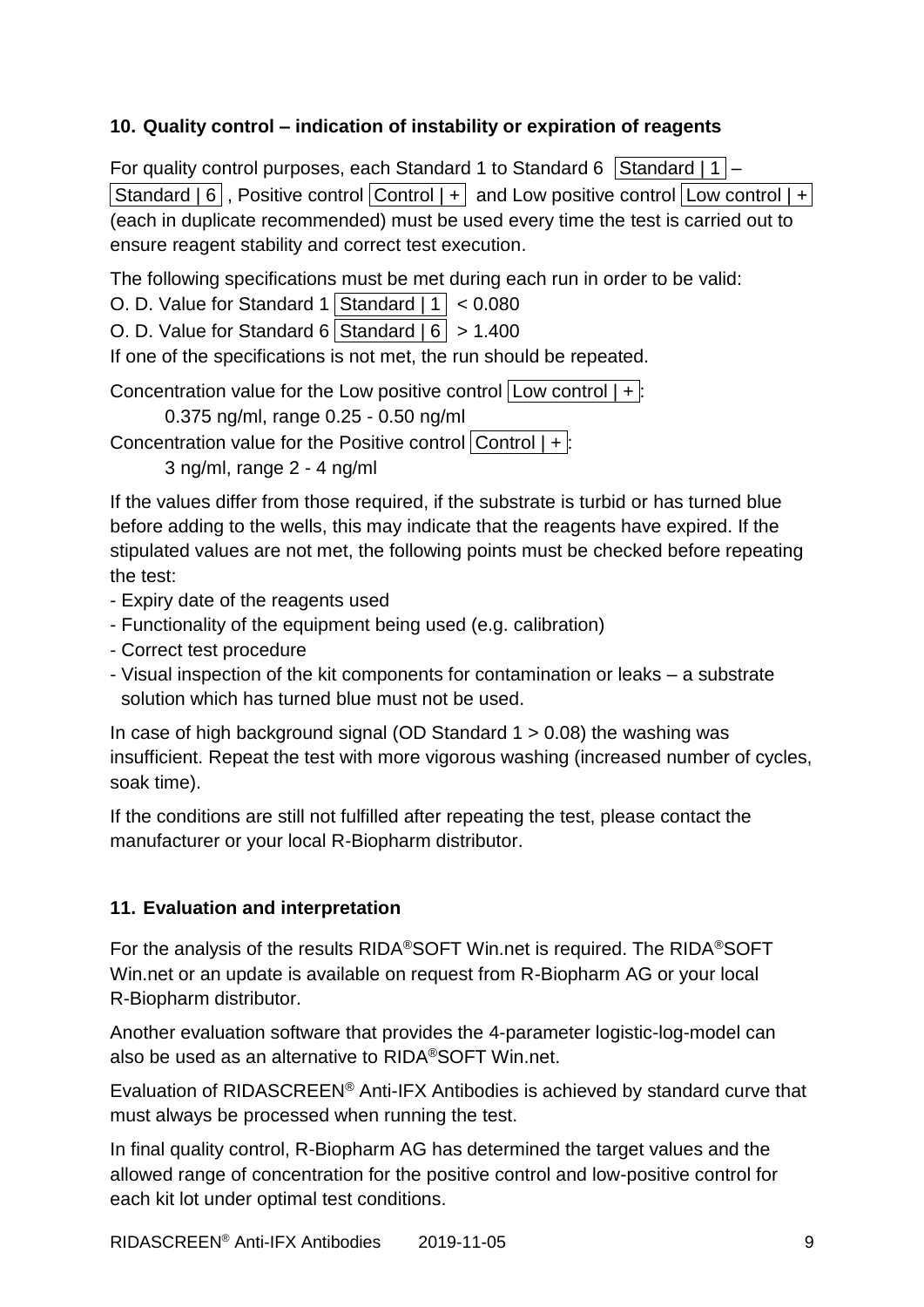#### **10. Quality control – indication of instability or expiration of reagents**

For quality control purposes, each Standard 1 to Standard 6 Standard | 1  $\vert$  – **Standard | 6 , Positive control Control | + and Low positive control Low control | +** (each in duplicate recommended) must be used every time the test is carried out to ensure reagent stability and correct test execution.

The following specifications must be met during each run in order to be valid:

O. D. Value for Standard 1 Standard  $|1| < 0.080$ 

O. D. Value for Standard 6 Standard  $| 6 | > 1.400$ 

If one of the specifications is not met, the run should be repeated.

Concentration value for the Low positive control  $|$  Low control  $| + |$ :

0.375 ng/ml, range 0.25 - 0.50 ng/ml

Concentration value for the Positive control  $|Control|$  + :

3 ng/ml, range 2 - 4 ng/ml

If the values differ from those required, if the substrate is turbid or has turned blue before adding to the wells, this may indicate that the reagents have expired. If the stipulated values are not met, the following points must be checked before repeating the test:

- Expiry date of the reagents used
- Functionality of the equipment being used (e.g. calibration)
- Correct test procedure
- Visual inspection of the kit components for contamination or leaks a substrate solution which has turned blue must not be used.

In case of high background signal (OD Standard  $1 > 0.08$ ) the washing was insufficient. Repeat the test with more vigorous washing (increased number of cycles, soak time).

If the conditions are still not fulfilled after repeating the test, please contact the manufacturer or your local R-Biopharm distributor.

## **11. Evaluation and interpretation**

For the analysis of the results RIDA®SOFT Win.net is required. The RIDA®SOFT Win.net or an update is available on request from R-Biopharm AG or your local R-Biopharm distributor.

Another evaluation software that provides the 4-parameter logistic-log-model can also be used as an alternative to RIDA®SOFT Win.net.

Evaluation of RIDASCREEN® Anti-IFX Antibodies is achieved by standard curve that must always be processed when running the test.

In final quality control, R-Biopharm AG has determined the target values and the allowed range of concentration for the positive control and low-positive control for each kit lot under optimal test conditions.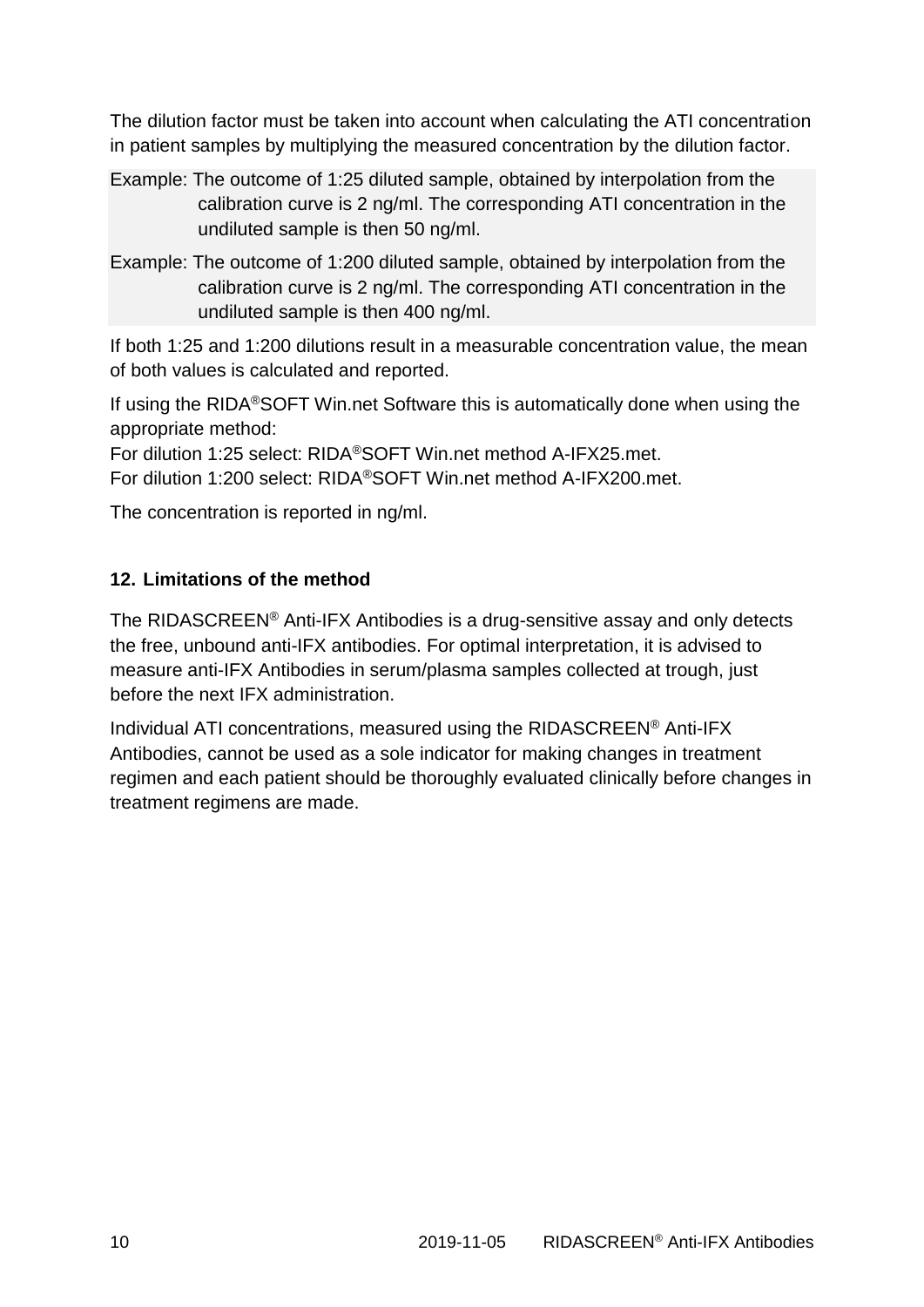The dilution factor must be taken into account when calculating the ATI concentration in patient samples by multiplying the measured concentration by the dilution factor.

- Example: The outcome of 1:25 diluted sample, obtained by interpolation from the calibration curve is 2 ng/ml. The corresponding ATI concentration in the undiluted sample is then 50 ng/ml.
- Example: The outcome of 1:200 diluted sample, obtained by interpolation from the calibration curve is 2 ng/ml. The corresponding ATI concentration in the undiluted sample is then 400 ng/ml.

If both 1:25 and 1:200 dilutions result in a measurable concentration value, the mean of both values is calculated and reported.

If using the RIDA®SOFT Win.net Software this is automatically done when using the appropriate method:

For dilution 1:25 select: RIDA®SOFT Win.net method A-IFX25.met.

For dilution 1:200 select: RIDA®SOFT Win.net method A-IFX200.met.

The concentration is reported in ng/ml.

## **12. Limitations of the method**

The RIDASCREEN® Anti-IFX Antibodies is a drug-sensitive assay and only detects the free, unbound anti-IFX antibodies. For optimal interpretation, it is advised to measure anti-IFX Antibodies in serum/plasma samples collected at trough, just before the next IFX administration.

Individual ATI concentrations, measured using the RIDASCREEN® Anti-IFX Antibodies, cannot be used as a sole indicator for making changes in treatment regimen and each patient should be thoroughly evaluated clinically before changes in treatment regimens are made.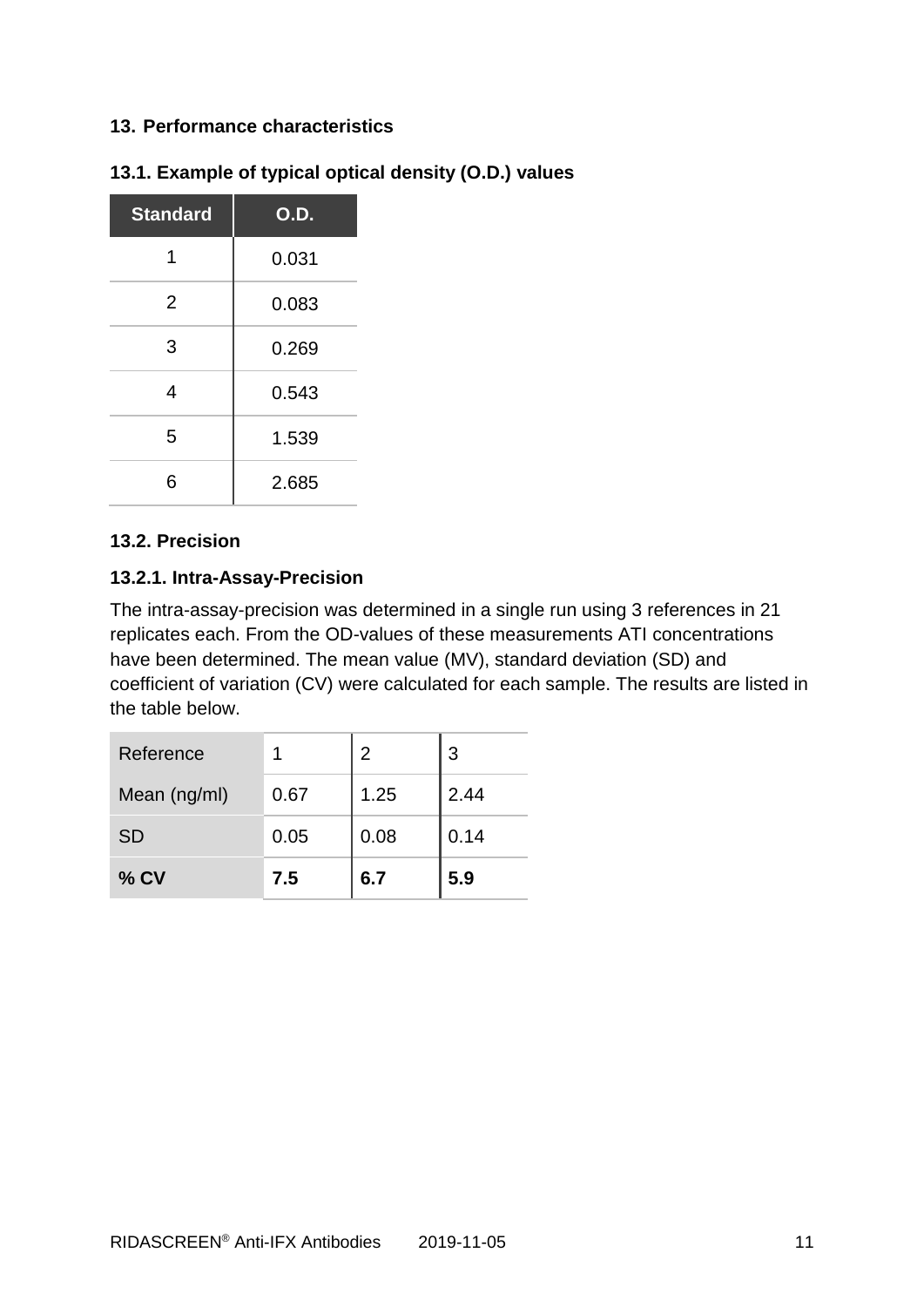#### **13. Performance characteristics**

| <b>Standard</b> | O.D.  |
|-----------------|-------|
| 1               | 0.031 |
| 2               | 0.083 |
| 3               | 0.269 |
| 4               | 0.543 |
| 5               | 1.539 |
| 6               | 2.685 |

## **13.1. Example of typical optical density (O.D.) values**

#### **13.2. Precision**

#### **13.2.1. Intra-Assay-Precision**

The intra-assay-precision was determined in a single run using 3 references in 21 replicates each. From the OD-values of these measurements ATI concentrations have been determined. The mean value (MV), standard deviation (SD) and coefficient of variation (CV) were calculated for each sample. The results are listed in the table below.

| Reference    |      | 2    | 3    |
|--------------|------|------|------|
| Mean (ng/ml) | 0.67 | 1.25 | 2.44 |
| <b>SD</b>    | 0.05 | 0.08 | 0.14 |
| $%$ CV       | 7.5  | 6.7  | 5.9  |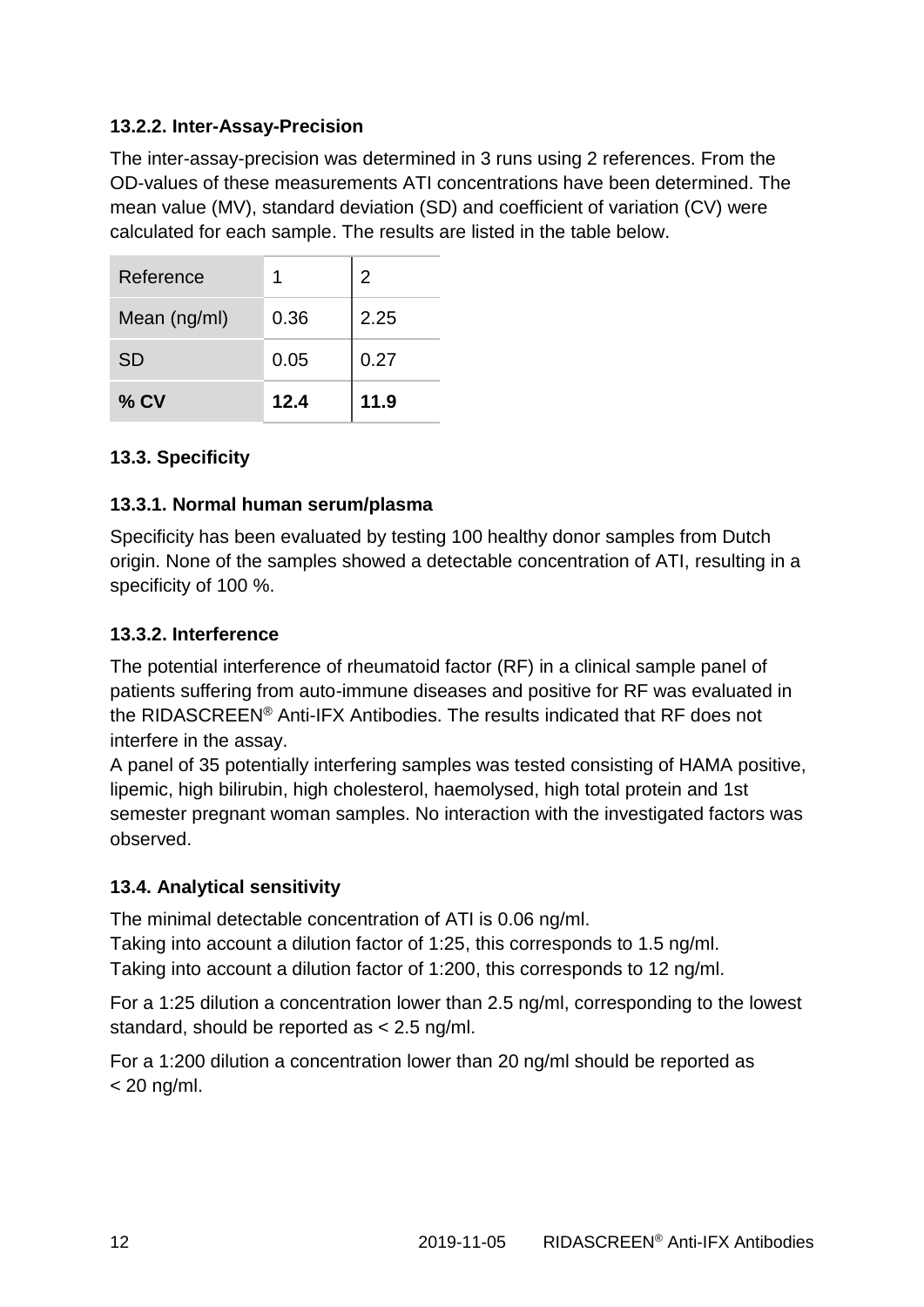## **13.2.2. Inter-Assay-Precision**

The inter-assay-precision was determined in 3 runs using 2 references. From the OD-values of these measurements ATI concentrations have been determined. The mean value (MV), standard deviation (SD) and coefficient of variation (CV) were calculated for each sample. The results are listed in the table below.

| Reference    |      | $\overline{2}$ |
|--------------|------|----------------|
| Mean (ng/ml) | 0.36 | 2.25           |
| <b>SD</b>    | 0.05 | 0.27           |
| $%$ CV       | 12.4 | 11.9           |

## **13.3. Specificity**

#### **13.3.1. Normal human serum/plasma**

Specificity has been evaluated by testing 100 healthy donor samples from Dutch origin. None of the samples showed a detectable concentration of ATI, resulting in a specificity of 100 %.

#### **13.3.2. Interference**

The potential interference of rheumatoid factor (RF) in a clinical sample panel of patients suffering from auto-immune diseases and positive for RF was evaluated in the RIDASCREEN® Anti-IFX Antibodies. The results indicated that RF does not interfere in the assay.

A panel of 35 potentially interfering samples was tested consisting of HAMA positive, lipemic, high bilirubin, high cholesterol, haemolysed, high total protein and 1st semester pregnant woman samples. No interaction with the investigated factors was observed.

## **13.4. Analytical sensitivity**

The minimal detectable concentration of ATI is 0.06 ng/ml.

Taking into account a dilution factor of 1:25, this corresponds to 1.5 ng/ml. Taking into account a dilution factor of 1:200, this corresponds to 12 ng/ml.

For a 1:25 dilution a concentration lower than 2.5 ng/ml, corresponding to the lowest standard, should be reported as < 2.5 ng/ml.

For a 1:200 dilution a concentration lower than 20 ng/ml should be reported as  $<$  20 ng/ml.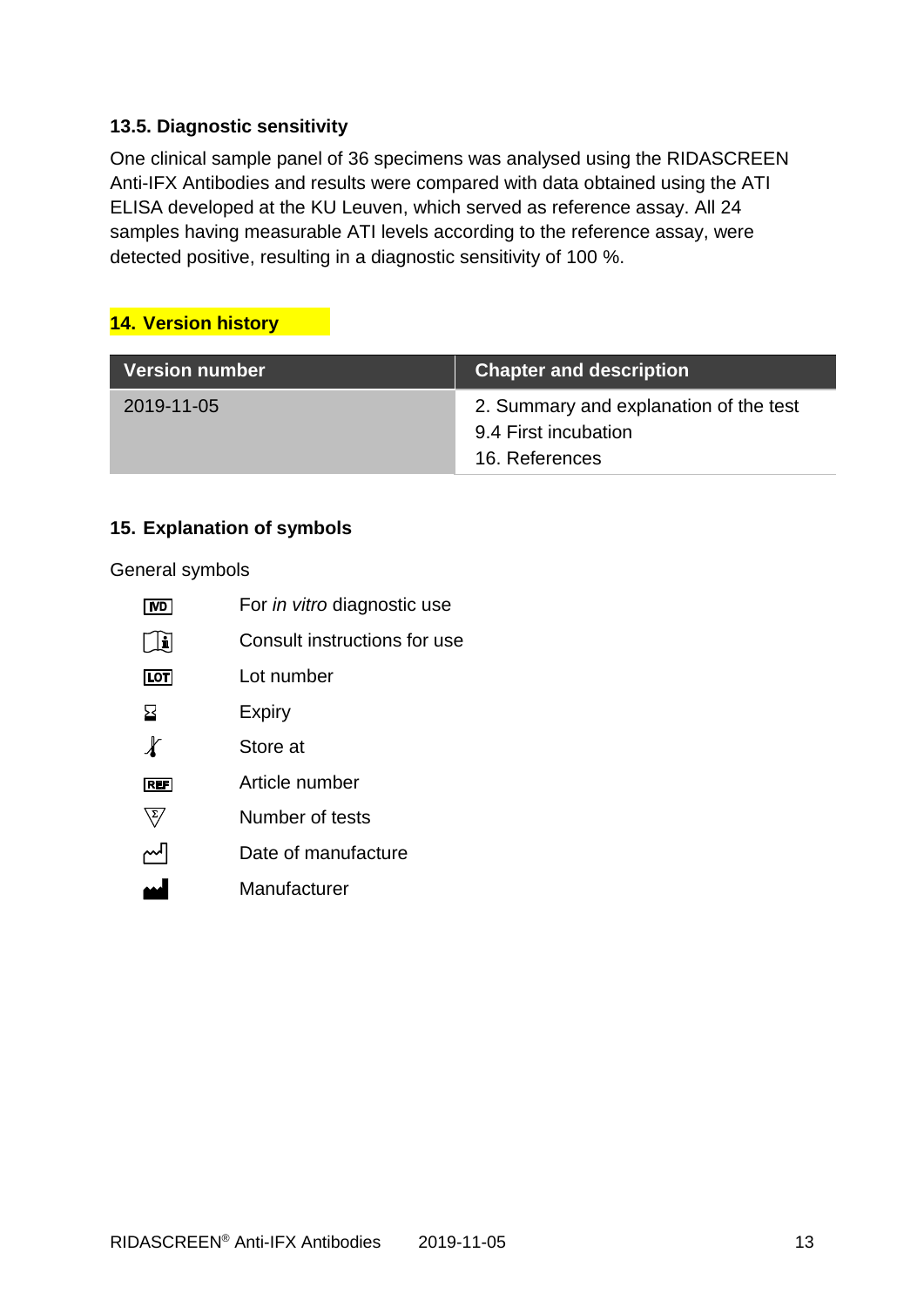#### **13.5. Diagnostic sensitivity**

One clinical sample panel of 36 specimens was analysed using the RIDASCREEN Anti-IFX Antibodies and results were compared with data obtained using the ATI ELISA developed at the KU Leuven, which served as reference assay. All 24 samples having measurable ATI levels according to the reference assay, were detected positive, resulting in a diagnostic sensitivity of 100 %.

#### **14. Version history**

| <b>Version number</b> | <b>Chapter and description</b>                                                   |
|-----------------------|----------------------------------------------------------------------------------|
| 2019-11-05            | 2. Summary and explanation of the test<br>9.4 First incubation<br>16. References |

#### **15. Explanation of symbols**

General symbols

| IVD                       | For in vitro diagnostic use  |
|---------------------------|------------------------------|
| H                         | Consult instructions for use |
| $\boxed{\text{LOT}}$      | Lot number                   |
| 呂                         | Expiry                       |
| $\boldsymbol{\mathit{X}}$ | Store at                     |
| <b>REF</b>                | Article number               |
|                           | Number of tests              |
|                           | Date of manufacture          |
|                           | Manufacturer                 |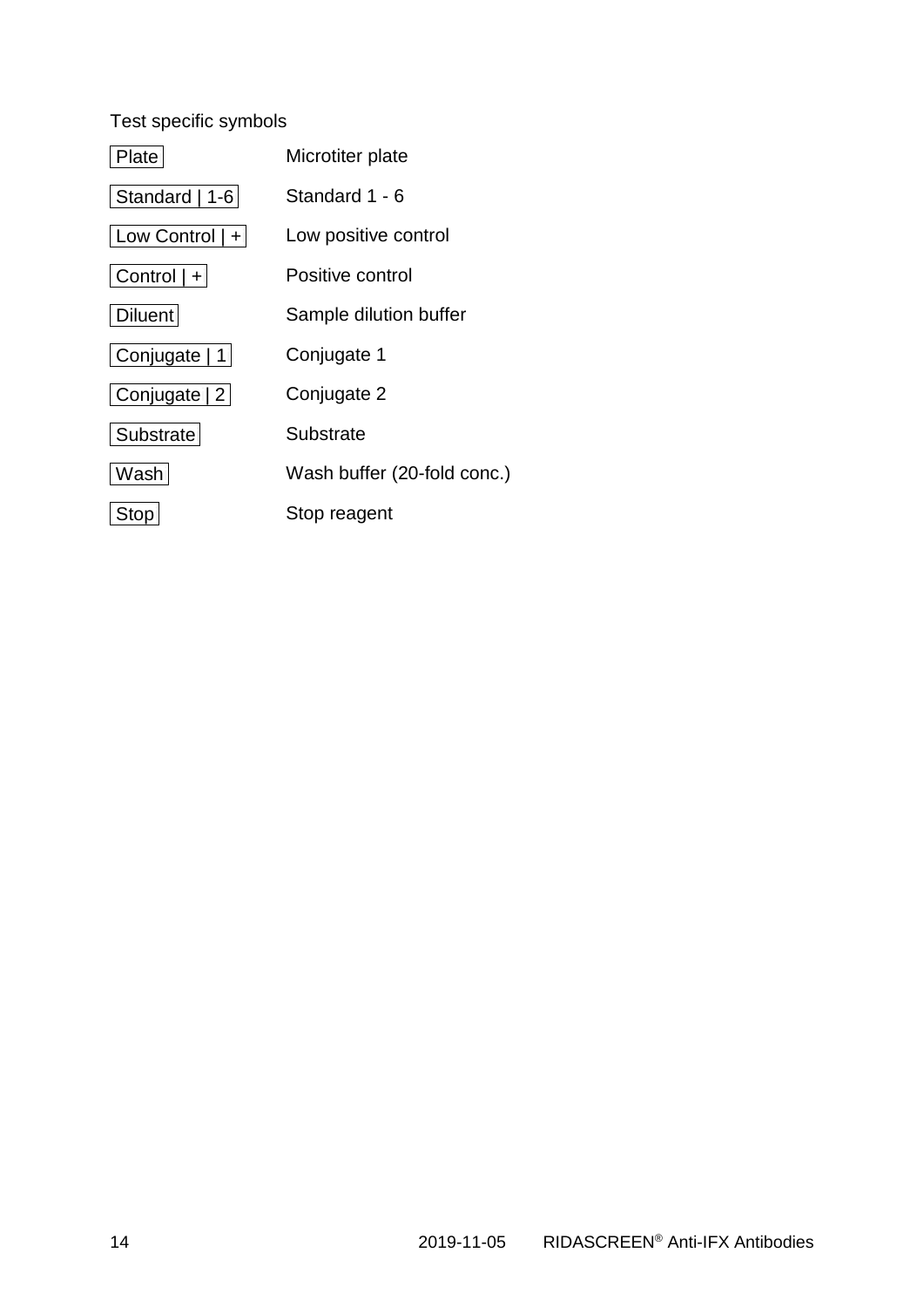## Test specific symbols

| Plate                 | Microtiter plate            |
|-----------------------|-----------------------------|
| Standard   1-6        | Standard 1 - 6              |
| $ $ Low Control $ + $ | Low positive control        |
| Control   +           | Positive control            |
| <b>Diluent</b>        | Sample dilution buffer      |
| Conjugate   1         | Conjugate 1                 |
| Conjugate 2           | Conjugate 2                 |
| Substrate             | Substrate                   |
| Washi                 | Wash buffer (20-fold conc.) |
| <b>Stop</b>           | Stop reagent                |